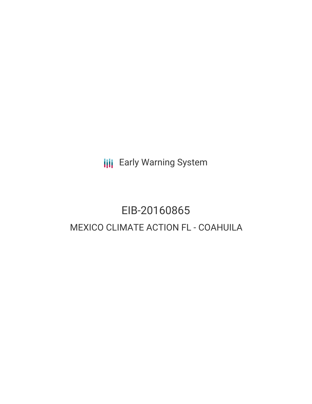**III** Early Warning System

# EIB-20160865 MEXICO CLIMATE ACTION FL - COAHUILA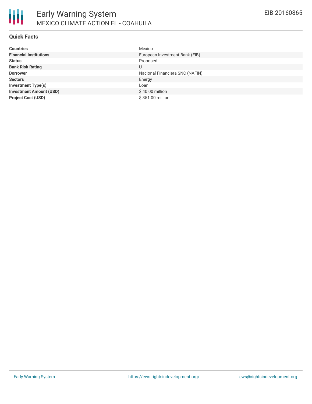

#### **Quick Facts**

| <b>Countries</b>               | Mexico                          |
|--------------------------------|---------------------------------|
| <b>Financial Institutions</b>  | European Investment Bank (EIB)  |
| <b>Status</b>                  | Proposed                        |
| <b>Bank Risk Rating</b>        | U                               |
| <b>Borrower</b>                | Nacional Financiera SNC (NAFIN) |
| <b>Sectors</b>                 | Energy                          |
| <b>Investment Type(s)</b>      | Loan                            |
| <b>Investment Amount (USD)</b> | \$40.00 million                 |
| <b>Project Cost (USD)</b>      | \$351.00 million                |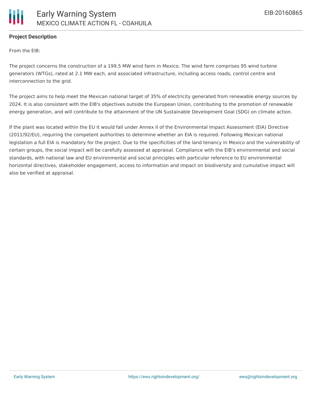

## **Project Description**

From the EIB:

The project concerns the construction of a 199.5 MW wind farm in Mexico. The wind farm comprises 95 wind turbine generators (WTGs), rated at 2.1 MW each, and associated infrastructure, including access roads, control centre and interconnection to the grid.

The project aims to help meet the Mexican national target of 35% of electricity generated from renewable energy sources by 2024. It is also consistent with the EIB's objectives outside the European Union, contributing to the promotion of renewable energy generation, and will contribute to the attainment of the UN Sustainable Development Goal (SDG) on climate action.

If the plant was located within the EU it would fall under Annex II of the Environmental Impact Assessment (EIA) Directive (2011/92/EU), requiring the competent authorities to determine whether an EIA is required. Following Mexican national legislation a full EIA is mandatory for the project. Due to the specificities of the land tenancy in Mexico and the vulnerability of certain groups, the social impact will be carefully assessed at appraisal. Compliance with the EIB's environmental and social standards, with national law and EU environmental and social principles with particular reference to EU environmental horizontal directives, stakeholder engagement, access to information and impact on biodiversity and cumulative impact will also be verified at appraisal.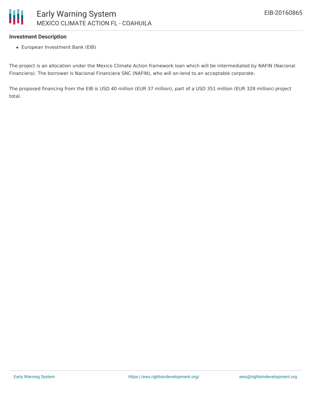#### **Investment Description**

European Investment Bank (EIB)

The project is an allocation under the Mexico Climate Action framework loan which will be intermediated by NAFIN (Nacional Financiera). The borrower is Nacional Financiera SNC (NAFIN), who will on-lend to an acceptable corporate.

The proposed financing from the EIB is USD 40 million (EUR 37 million), part of a USD 351 million (EUR 328 million) project total.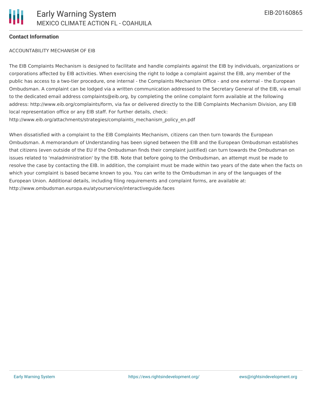

### **Contact Information**

#### ACCOUNTABILITY MECHANISM OF EIB

The EIB Complaints Mechanism is designed to facilitate and handle complaints against the EIB by individuals, organizations or corporations affected by EIB activities. When exercising the right to lodge a complaint against the EIB, any member of the public has access to a two-tier procedure, one internal - the Complaints Mechanism Office - and one external - the European Ombudsman. A complaint can be lodged via a written communication addressed to the Secretary General of the EIB, via email to the dedicated email address complaints@eib.org, by completing the online complaint form available at the following address: http://www.eib.org/complaints/form, via fax or delivered directly to the EIB Complaints Mechanism Division, any EIB local representation office or any EIB staff. For further details, check: http://www.eib.org/attachments/strategies/complaints\_mechanism\_policy\_en.pdf

When dissatisfied with a complaint to the EIB Complaints Mechanism, citizens can then turn towards the European Ombudsman. A memorandum of Understanding has been signed between the EIB and the European Ombudsman establishes that citizens (even outside of the EU if the Ombudsman finds their complaint justified) can turn towards the Ombudsman on issues related to 'maladministration' by the EIB. Note that before going to the Ombudsman, an attempt must be made to resolve the case by contacting the EIB. In addition, the complaint must be made within two years of the date when the facts on which your complaint is based became known to you. You can write to the Ombudsman in any of the languages of the European Union. Additional details, including filing requirements and complaint forms, are available at: http://www.ombudsman.europa.eu/atyourservice/interactiveguide.faces